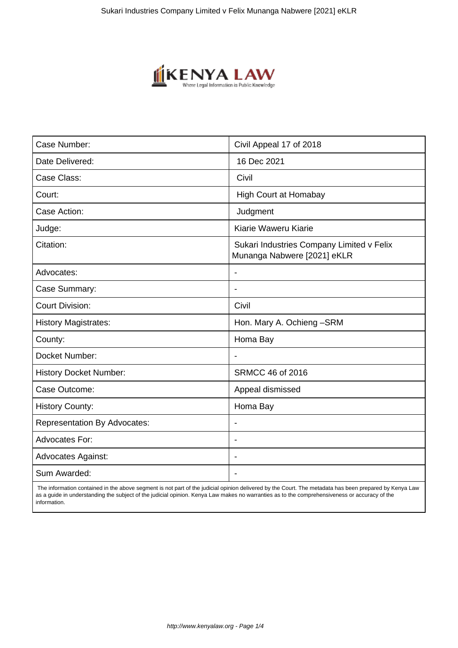

| Case Number:                        | Civil Appeal 17 of 2018                                                  |
|-------------------------------------|--------------------------------------------------------------------------|
| Date Delivered:                     | 16 Dec 2021                                                              |
| Case Class:                         | Civil                                                                    |
| Court:                              | <b>High Court at Homabay</b>                                             |
| Case Action:                        | Judgment                                                                 |
| Judge:                              | Kiarie Waweru Kiarie                                                     |
| Citation:                           | Sukari Industries Company Limited v Felix<br>Munanga Nabwere [2021] eKLR |
| Advocates:                          |                                                                          |
| Case Summary:                       |                                                                          |
| <b>Court Division:</b>              | Civil                                                                    |
| <b>History Magistrates:</b>         | Hon. Mary A. Ochieng-SRM                                                 |
| County:                             | Homa Bay                                                                 |
| Docket Number:                      |                                                                          |
| <b>History Docket Number:</b>       | <b>SRMCC 46 of 2016</b>                                                  |
| Case Outcome:                       | Appeal dismissed                                                         |
| <b>History County:</b>              | Homa Bay                                                                 |
| <b>Representation By Advocates:</b> | $\qquad \qquad \blacksquare$                                             |
| Advocates For:                      |                                                                          |
| <b>Advocates Against:</b>           |                                                                          |
| Sum Awarded:                        |                                                                          |

 The information contained in the above segment is not part of the judicial opinion delivered by the Court. The metadata has been prepared by Kenya Law as a guide in understanding the subject of the judicial opinion. Kenya Law makes no warranties as to the comprehensiveness or accuracy of the information.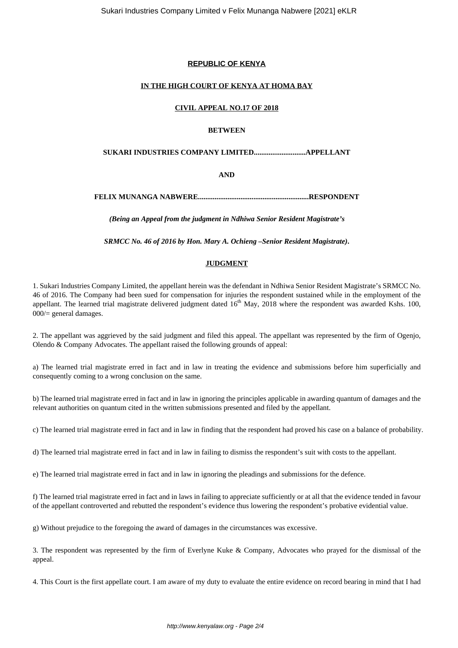# **REPUBLIC OF KENYA**

#### **IN THE HIGH COURT OF KENYA AT HOMA BAY**

#### **CIVIL APPEAL NO.17 OF 2018**

# **BETWEEN**

# **SUKARI INDUSTRIES COMPANY LIMITED............................APPELLANT**

## **AND**

**FELIX MUNANGA NABWERE............................................................RESPONDENT**

*(Being an Appeal from the judgment in Ndhiwa Senior Resident Magistrate's*

*SRMCC No. 46 of 2016 by Hon. Mary A. Ochieng –Senior Resident Magistrate)***.**

### **JUDGMENT**

1. Sukari Industries Company Limited, the appellant herein was the defendant in Ndhiwa Senior Resident Magistrate's SRMCC No. 46 of 2016. The Company had been sued for compensation for injuries the respondent sustained while in the employment of the appellant. The learned trial magistrate delivered judgment dated  $16<sup>th</sup>$  May,  $2018$  where the respondent was awarded Kshs. 100, 000/= general damages.

2. The appellant was aggrieved by the said judgment and filed this appeal. The appellant was represented by the firm of Ogenjo, Olendo & Company Advocates. The appellant raised the following grounds of appeal:

a) The learned trial magistrate erred in fact and in law in treating the evidence and submissions before him superficially and consequently coming to a wrong conclusion on the same.

b) The learned trial magistrate erred in fact and in law in ignoring the principles applicable in awarding quantum of damages and the relevant authorities on quantum cited in the written submissions presented and filed by the appellant.

c) The learned trial magistrate erred in fact and in law in finding that the respondent had proved his case on a balance of probability.

d) The learned trial magistrate erred in fact and in law in failing to dismiss the respondent's suit with costs to the appellant.

e) The learned trial magistrate erred in fact and in law in ignoring the pleadings and submissions for the defence.

f) The learned trial magistrate erred in fact and in laws in failing to appreciate sufficiently or at all that the evidence tended in favour of the appellant controverted and rebutted the respondent's evidence thus lowering the respondent's probative evidential value.

g) Without prejudice to the foregoing the award of damages in the circumstances was excessive.

3. The respondent was represented by the firm of Everlyne Kuke & Company, Advocates who prayed for the dismissal of the appeal.

4. This Court is the first appellate court. I am aware of my duty to evaluate the entire evidence on record bearing in mind that I had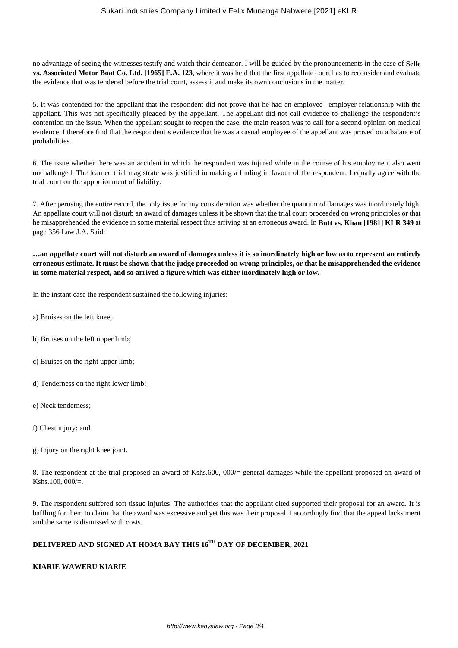no advantage of seeing the witnesses testify and watch their demeanor. I will be guided by the pronouncements in the case of **Selle vs. Associated Motor Boat Co. Ltd. [1965] E.A. 123**, where it was held that the first appellate court has to reconsider and evaluate the evidence that was tendered before the trial court, assess it and make its own conclusions in the matter.

5. It was contended for the appellant that the respondent did not prove that he had an employee –employer relationship with the appellant. This was not specifically pleaded by the appellant. The appellant did not call evidence to challenge the respondent's contention on the issue. When the appellant sought to reopen the case, the main reason was to call for a second opinion on medical evidence. I therefore find that the respondent's evidence that he was a casual employee of the appellant was proved on a balance of probabilities.

6. The issue whether there was an accident in which the respondent was injured while in the course of his employment also went unchallenged. The learned trial magistrate was justified in making a finding in favour of the respondent. I equally agree with the trial court on the apportionment of liability.

7. After perusing the entire record, the only issue for my consideration was whether the quantum of damages was inordinately high. An appellate court will not disturb an award of damages unless it be shown that the trial court proceeded on wrong principles or that he misapprehended the evidence in some material respect thus arriving at an erroneous award. In **Butt vs. Khan [1981] KLR 349** at page 356 Law J.A. Said:

**…an appellate court will not disturb an award of damages unless it is so inordinately high or low as to represent an entirely erroneous estimate. It must be shown that the judge proceeded on wrong principles, or that he misapprehended the evidence in some material respect, and so arrived a figure which was either inordinately high or low.**

In the instant case the respondent sustained the following injuries:

- a) Bruises on the left knee;
- b) Bruises on the left upper limb;
- c) Bruises on the right upper limb;
- d) Tenderness on the right lower limb;
- e) Neck tenderness;
- f) Chest injury; and
- g) Injury on the right knee joint.

8. The respondent at the trial proposed an award of Kshs.600, 000/= general damages while the appellant proposed an award of Kshs.100, 000/=.

9. The respondent suffered soft tissue injuries. The authorities that the appellant cited supported their proposal for an award. It is baffling for them to claim that the award was excessive and yet this was their proposal. I accordingly find that the appeal lacks merit and the same is dismissed with costs.

# **DELIVERED AND SIGNED AT HOMA BAY THIS 16TH DAY OF DECEMBER, 2021**

#### **KIARIE WAWERU KIARIE**